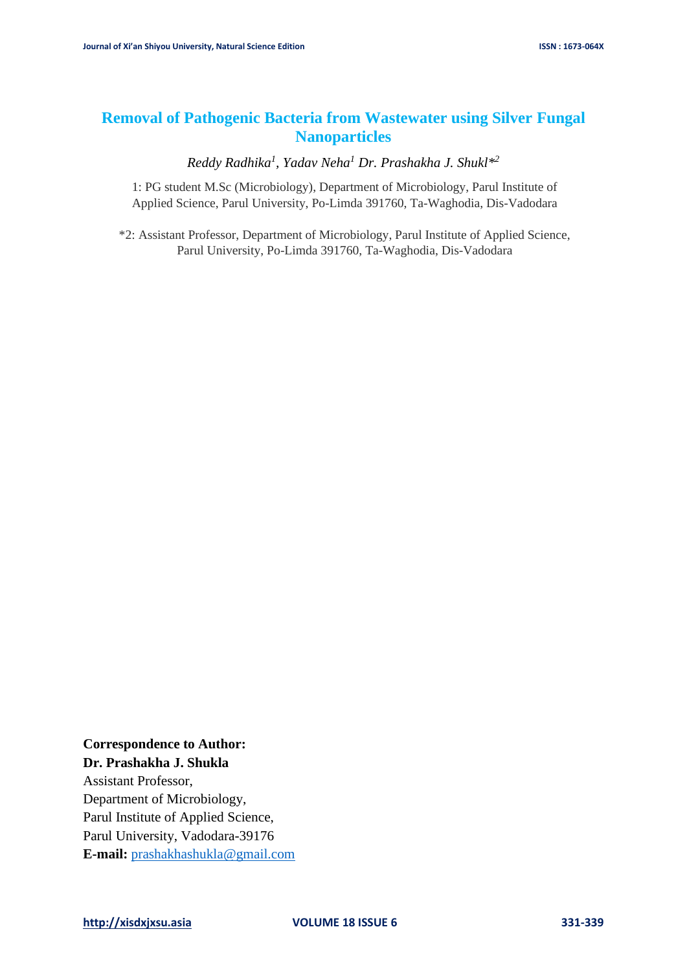# **Removal of Pathogenic Bacteria from Wastewater using Silver Fungal Nanoparticles**

*Reddy Radhika<sup>1</sup> , Yadav Neha<sup>1</sup> Dr. Prashakha J. Shukl\* 2*

1: PG student M.Sc (Microbiology), Department of Microbiology, Parul Institute of Applied Science, Parul University, Po-Limda 391760, Ta-Waghodia, Dis-Vadodara

\*2: Assistant Professor, Department of Microbiology, Parul Institute of Applied Science, Parul University, Po-Limda 391760, Ta-Waghodia, Dis-Vadodara

**Correspondence to Author: Dr. Prashakha J. Shukla**

Assistant Professor, Department of Microbiology, Parul Institute of Applied Science, Parul University, Vadodara-39176 **E-mail:** [prashakhashukla@gmail.com](mailto:prashakhashukla@gmail.com)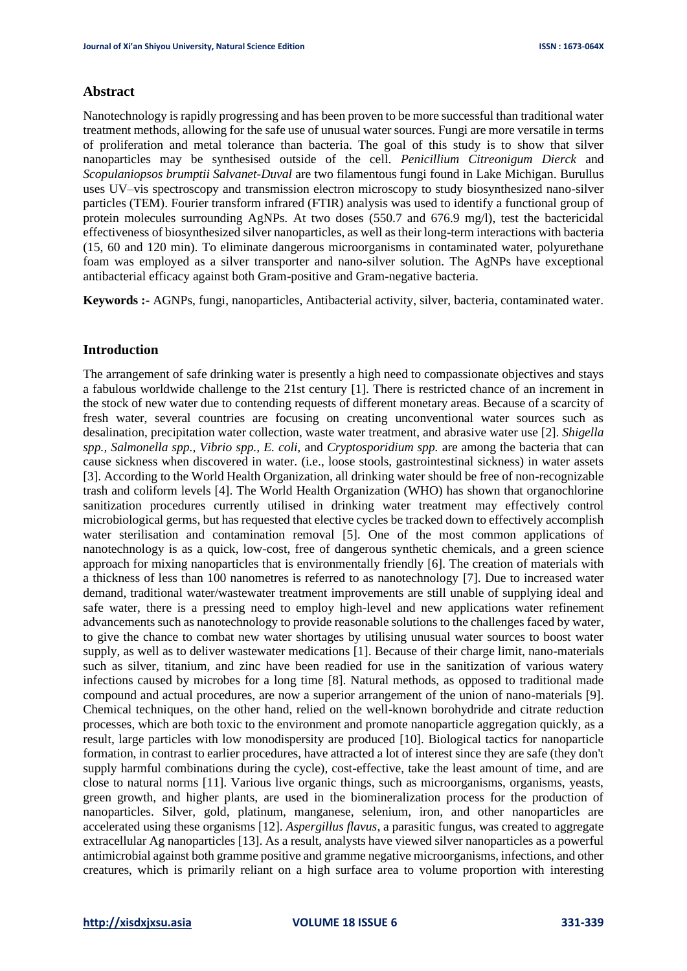## **Abstract**

Nanotechnology is rapidly progressing and has been proven to be more successful than traditional water treatment methods, allowing for the safe use of unusual water sources. Fungi are more versatile in terms of proliferation and metal tolerance than bacteria. The goal of this study is to show that silver nanoparticles may be synthesised outside of the cell. *Penicillium Citreonigum Dierck* and *Scopulaniopsos brumptii Salvanet-Duval* are two filamentous fungi found in Lake Michigan. Burullus uses UV–vis spectroscopy and transmission electron microscopy to study biosynthesized nano-silver particles (TEM). Fourier transform infrared (FTIR) analysis was used to identify a functional group of protein molecules surrounding AgNPs. At two doses (550.7 and 676.9 mg/l), test the bactericidal effectiveness of biosynthesized silver nanoparticles, as well as their long-term interactions with bacteria (15, 60 and 120 min). To eliminate dangerous microorganisms in contaminated water, polyurethane foam was employed as a silver transporter and nano-silver solution. The AgNPs have exceptional antibacterial efficacy against both Gram-positive and Gram-negative bacteria.

**Keywords :**- AGNPs, fungi, nanoparticles, Antibacterial activity, silver, bacteria, contaminated water.

## **Introduction**

The arrangement of safe drinking water is presently a high need to compassionate objectives and stays a fabulous worldwide challenge to the 21st century [1]. There is restricted chance of an increment in the stock of new water due to contending requests of different monetary areas. Because of a scarcity of fresh water, several countries are focusing on creating unconventional water sources such as desalination, precipitation water collection, waste water treatment, and abrasive water use [2]. *Shigella spp., Salmonella spp., Vibrio spp., E. coli,* and *Cryptosporidium spp.* are among the bacteria that can cause sickness when discovered in water. (i.e., loose stools, gastrointestinal sickness) in water assets [3]. According to the World Health Organization, all drinking water should be free of non-recognizable trash and coliform levels [4]. The World Health Organization (WHO) has shown that organochlorine sanitization procedures currently utilised in drinking water treatment may effectively control microbiological germs, but has requested that elective cycles be tracked down to effectively accomplish water sterilisation and contamination removal [5]. One of the most common applications of nanotechnology is as a quick, low-cost, free of dangerous synthetic chemicals, and a green science approach for mixing nanoparticles that is environmentally friendly [6]. The creation of materials with a thickness of less than 100 nanometres is referred to as nanotechnology [7]. Due to increased water demand, traditional water/wastewater treatment improvements are still unable of supplying ideal and safe water, there is a pressing need to employ high-level and new applications water refinement advancements such as nanotechnology to provide reasonable solutions to the challenges faced by water, to give the chance to combat new water shortages by utilising unusual water sources to boost water supply, as well as to deliver wastewater medications [1]. Because of their charge limit, nano-materials such as silver, titanium, and zinc have been readied for use in the sanitization of various watery infections caused by microbes for a long time [8]. Natural methods, as opposed to traditional made compound and actual procedures, are now a superior arrangement of the union of nano-materials [9]. Chemical techniques, on the other hand, relied on the well-known borohydride and citrate reduction processes, which are both toxic to the environment and promote nanoparticle aggregation quickly, as a result, large particles with low monodispersity are produced [10]. Biological tactics for nanoparticle formation, in contrast to earlier procedures, have attracted a lot of interest since they are safe (they don't supply harmful combinations during the cycle), cost-effective, take the least amount of time, and are close to natural norms [11]. Various live organic things, such as microorganisms, organisms, yeasts, green growth, and higher plants, are used in the biomineralization process for the production of nanoparticles. Silver, gold, platinum, manganese, selenium, iron, and other nanoparticles are accelerated using these organisms [12]. *Aspergillus flavus*, a parasitic fungus, was created to aggregate extracellular Ag nanoparticles [13]. As a result, analysts have viewed silver nanoparticles as a powerful antimicrobial against both gramme positive and gramme negative microorganisms, infections, and other creatures, which is primarily reliant on a high surface area to volume proportion with interesting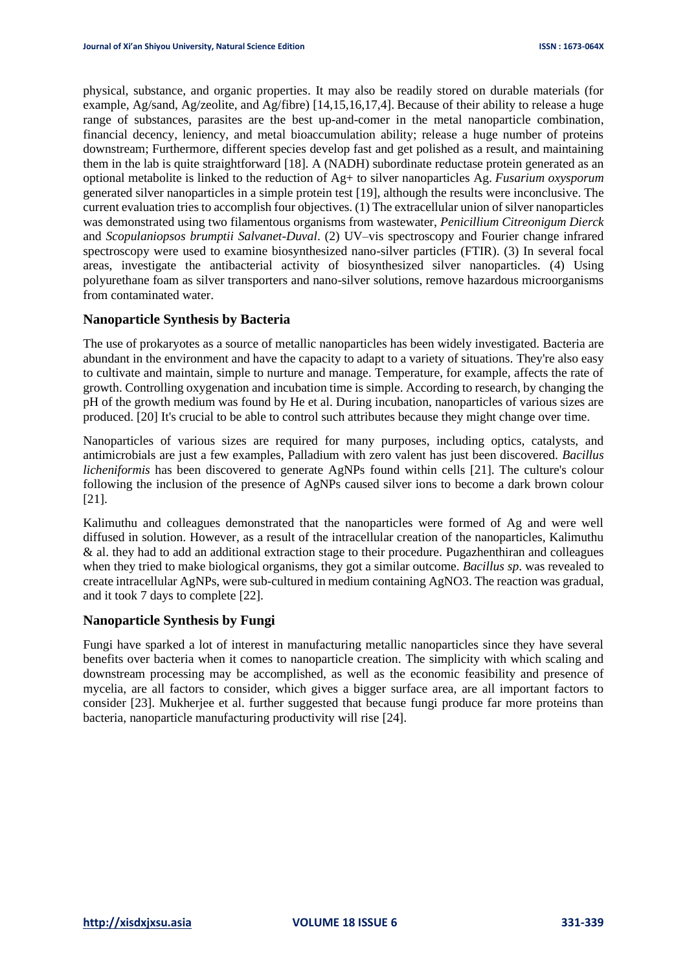physical, substance, and organic properties. It may also be readily stored on durable materials (for example, Ag/sand, Ag/zeolite, and Ag/fibre) [14,15,16,17,4]. Because of their ability to release a huge range of substances, parasites are the best up-and-comer in the metal nanoparticle combination, financial decency, leniency, and metal bioaccumulation ability; release a huge number of proteins downstream; Furthermore, different species develop fast and get polished as a result, and maintaining them in the lab is quite straightforward [18]. A (NADH) subordinate reductase protein generated as an optional metabolite is linked to the reduction of Ag+ to silver nanoparticles Ag. *Fusarium oxysporum* generated silver nanoparticles in a simple protein test [19], although the results were inconclusive. The current evaluation tries to accomplish four objectives. (1) The extracellular union of silver nanoparticles was demonstrated using two filamentous organisms from wastewater, *Penicillium Citreonigum Dierck* and *Scopulaniopsos brumptii Salvanet-Duval*. (2) UV–vis spectroscopy and Fourier change infrared spectroscopy were used to examine biosynthesized nano-silver particles (FTIR). (3) In several focal areas, investigate the antibacterial activity of biosynthesized silver nanoparticles. (4) Using polyurethane foam as silver transporters and nano-silver solutions, remove hazardous microorganisms from contaminated water.

# **Nanoparticle Synthesis by Bacteria**

The use of prokaryotes as a source of metallic nanoparticles has been widely investigated. Bacteria are abundant in the environment and have the capacity to adapt to a variety of situations. They're also easy to cultivate and maintain, simple to nurture and manage. Temperature, for example, affects the rate of growth. Controlling oxygenation and incubation time is simple. According to research, by changing the pH of the growth medium was found by He et al. During incubation, nanoparticles of various sizes are produced. [20] It's crucial to be able to control such attributes because they might change over time.

Nanoparticles of various sizes are required for many purposes, including optics, catalysts, and antimicrobials are just a few examples, Palladium with zero valent has just been discovered. *Bacillus licheniformis* has been discovered to generate AgNPs found within cells [21]. The culture's colour following the inclusion of the presence of AgNPs caused silver ions to become a dark brown colour [21].

Kalimuthu and colleagues demonstrated that the nanoparticles were formed of Ag and were well diffused in solution. However, as a result of the intracellular creation of the nanoparticles, Kalimuthu & al. they had to add an additional extraction stage to their procedure. Pugazhenthiran and colleagues when they tried to make biological organisms, they got a similar outcome. *Bacillus sp*. was revealed to create intracellular AgNPs, were sub-cultured in medium containing AgNO3. The reaction was gradual, and it took 7 days to complete [22].

# **Nanoparticle Synthesis by Fungi**

Fungi have sparked a lot of interest in manufacturing metallic nanoparticles since they have several benefits over bacteria when it comes to nanoparticle creation. The simplicity with which scaling and downstream processing may be accomplished, as well as the economic feasibility and presence of mycelia, are all factors to consider, which gives a bigger surface area, are all important factors to consider [23]. Mukherjee et al. further suggested that because fungi produce far more proteins than bacteria, nanoparticle manufacturing productivity will rise [24].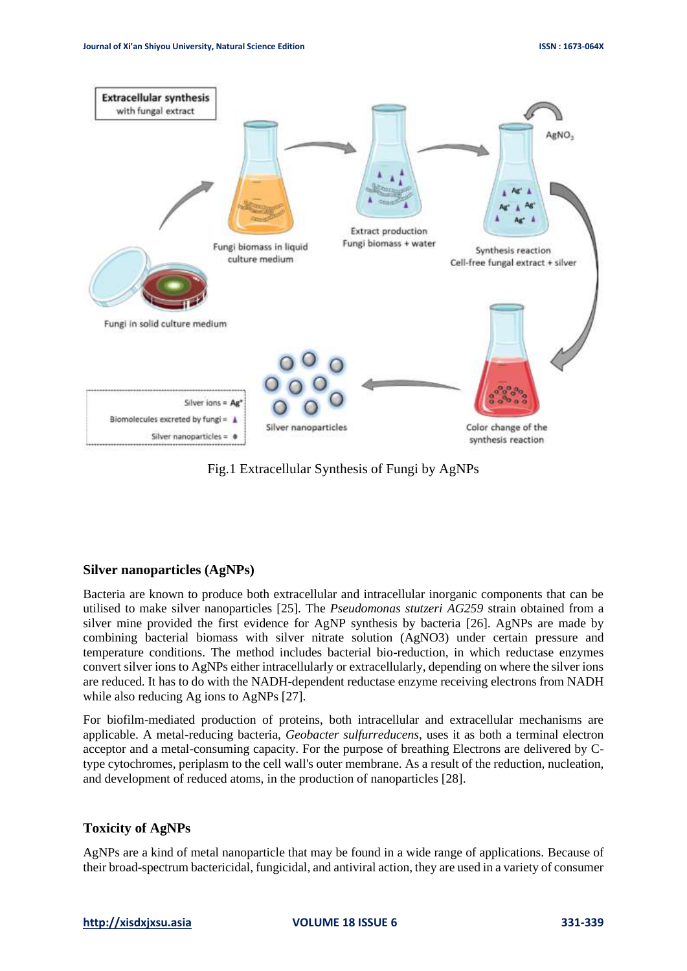

Fig.1 Extracellular Synthesis of Fungi by AgNPs

### **Silver nanoparticles (AgNPs)**

Bacteria are known to produce both extracellular and intracellular inorganic components that can be utilised to make silver nanoparticles [25]. The *Pseudomonas stutzeri AG259* strain obtained from a silver mine provided the first evidence for AgNP synthesis by bacteria [26]. AgNPs are made by combining bacterial biomass with silver nitrate solution (AgNO3) under certain pressure and temperature conditions. The method includes bacterial bio-reduction, in which reductase enzymes convert silver ions to AgNPs either intracellularly or extracellularly, depending on where the silver ions are reduced. It has to do with the NADH-dependent reductase enzyme receiving electrons from NADH while also reducing Ag ions to AgNPs [27].

For biofilm-mediated production of proteins, both intracellular and extracellular mechanisms are applicable. A metal-reducing bacteria, *Geobacter sulfurreducens*, uses it as both a terminal electron acceptor and a metal-consuming capacity. For the purpose of breathing Electrons are delivered by Ctype cytochromes, periplasm to the cell wall's outer membrane. As a result of the reduction, nucleation, and development of reduced atoms, in the production of nanoparticles [28].

# **Toxicity of AgNPs**

AgNPs are a kind of metal nanoparticle that may be found in a wide range of applications. Because of their broad-spectrum bactericidal, fungicidal, and antiviral action, they are used in a variety of consumer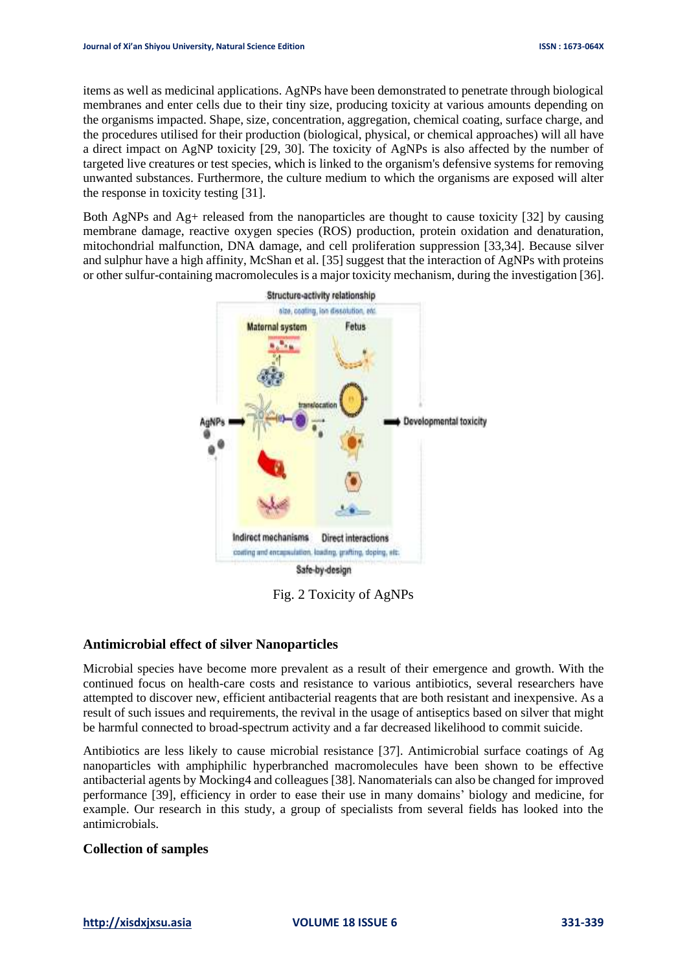items as well as medicinal applications. AgNPs have been demonstrated to penetrate through biological membranes and enter cells due to their tiny size, producing toxicity at various amounts depending on the organisms impacted. Shape, size, concentration, aggregation, chemical coating, surface charge, and the procedures utilised for their production (biological, physical, or chemical approaches) will all have a direct impact on AgNP toxicity [29, 30]. The toxicity of AgNPs is also affected by the number of targeted live creatures or test species, which is linked to the organism's defensive systems for removing unwanted substances. Furthermore, the culture medium to which the organisms are exposed will alter the response in toxicity testing [31].

Both AgNPs and  $Ag$ + released from the nanoparticles are thought to cause toxicity [32] by causing membrane damage, reactive oxygen species (ROS) production, protein oxidation and denaturation, mitochondrial malfunction, DNA damage, and cell proliferation suppression [33,34]. Because silver and sulphur have a high affinity, McShan et al. [35] suggest that the interaction of AgNPs with proteins or other sulfur-containing macromolecules is a major toxicity mechanism, during the investigation [36].



Fig. 2 Toxicity of AgNPs

# **Antimicrobial effect of silver Nanoparticles**

Microbial species have become more prevalent as a result of their emergence and growth. With the continued focus on health-care costs and resistance to various antibiotics, several researchers have attempted to discover new, efficient antibacterial reagents that are both resistant and inexpensive. As a result of such issues and requirements, the revival in the usage of antiseptics based on silver that might be harmful connected to broad-spectrum activity and a far decreased likelihood to commit suicide.

Antibiotics are less likely to cause microbial resistance [37]. Antimicrobial surface coatings of Ag nanoparticles with amphiphilic hyperbranched macromolecules have been shown to be effective antibacterial agents by Mocking4 and colleagues [38]. Nanomaterials can also be changed for improved performance [39], efficiency in order to ease their use in many domains' biology and medicine, for example. Our research in this study, a group of specialists from several fields has looked into the antimicrobials.

### **Collection of samples**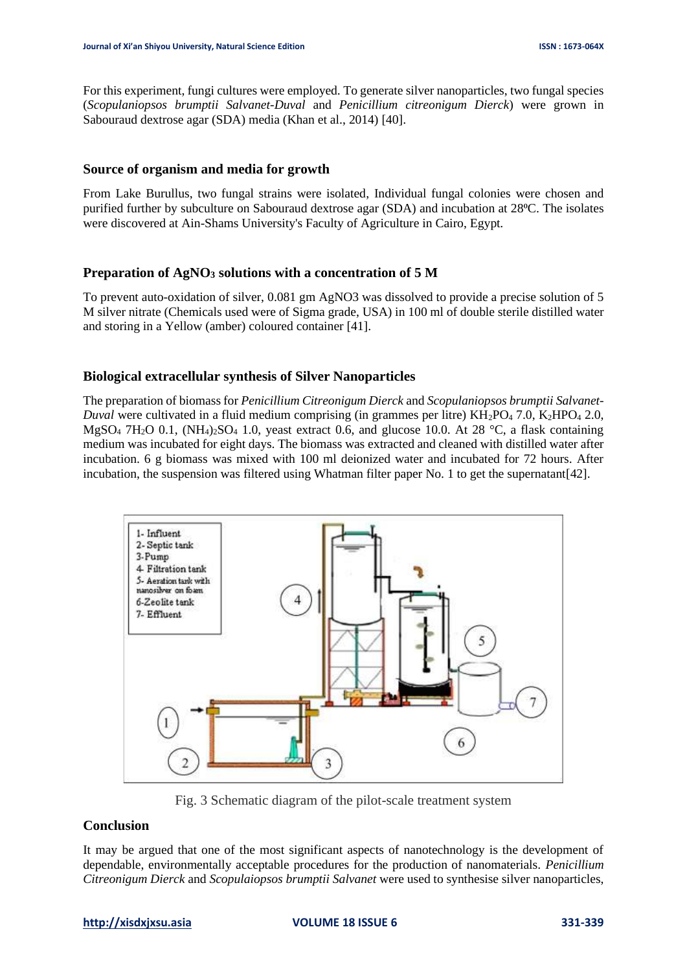For this experiment, fungi cultures were employed. To generate silver nanoparticles, two fungal species (*Scopulaniopsos brumptii Salvanet-Duval* and *Penicillium citreonigum Dierck*) were grown in Sabouraud dextrose agar (SDA) media (Khan et al., 2014) [40].

## **Source of organism and media for growth**

From Lake Burullus, two fungal strains were isolated, Individual fungal colonies were chosen and purified further by subculture on Sabouraud dextrose agar (SDA) and incubation at 28<sup>o</sup>C. The isolates were discovered at Ain-Shams University's Faculty of Agriculture in Cairo, Egypt.

## **Preparation of AgNO<sup>3</sup> solutions with a concentration of 5 M**

To prevent auto-oxidation of silver, 0.081 gm AgNO3 was dissolved to provide a precise solution of 5 M silver nitrate (Chemicals used were of Sigma grade, USA) in 100 ml of double sterile distilled water and storing in a Yellow (amber) coloured container [41].

## **Biological extracellular synthesis of Silver Nanoparticles**

The preparation of biomass for *Penicillium Citreonigum Dierck* and *Scopulaniopsos brumptii Salvanet-Duval* were cultivated in a fluid medium comprising (in grammes per litre) KH<sub>2</sub>PO<sub>4</sub> 7.0, K<sub>2</sub>HPO<sub>4</sub> 2.0, MgSO<sub>4</sub> 7H<sub>2</sub>O 0.1, (NH<sub>4</sub>)<sub>2</sub>SO<sub>4</sub> 1.0, yeast extract 0.6, and glucose 10.0. At 28 °C, a flask containing medium was incubated for eight days. The biomass was extracted and cleaned with distilled water after incubation. 6 g biomass was mixed with 100 ml deionized water and incubated for 72 hours. After incubation, the suspension was filtered using Whatman filter paper No. 1 to get the supernatant [42].



Fig. 3 Schematic diagram of the pilot-scale treatment system

# **Conclusion**

It may be argued that one of the most significant aspects of nanotechnology is the development of dependable, environmentally acceptable procedures for the production of nanomaterials. *Penicillium Citreonigum Dierck* and *Scopulaiopsos brumptii Salvanet* were used to synthesise silver nanoparticles,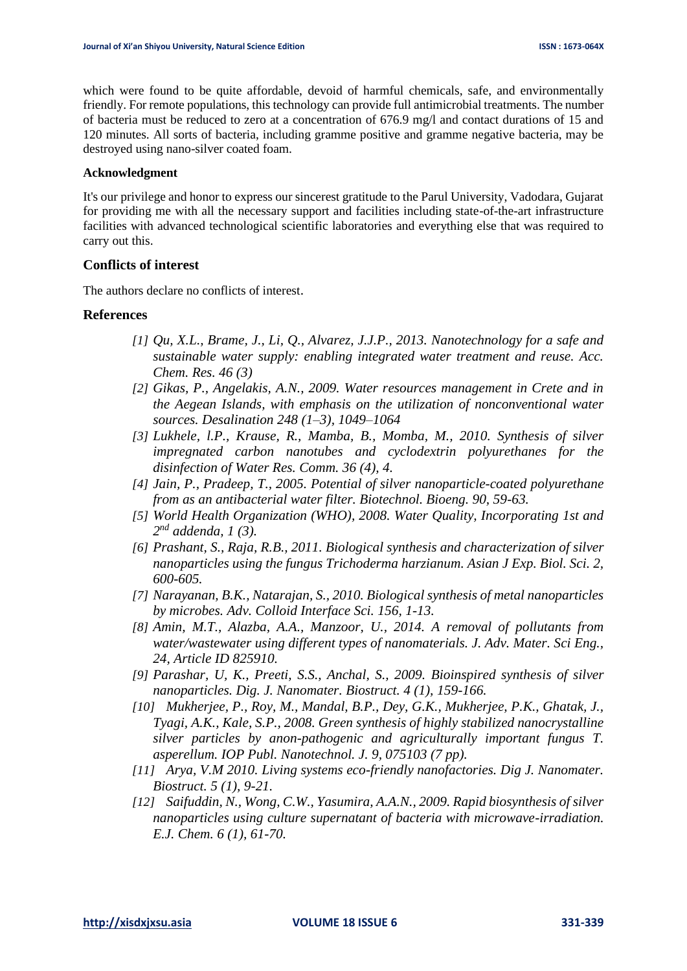which were found to be quite affordable, devoid of harmful chemicals, safe, and environmentally friendly. For remote populations, this technology can provide full antimicrobial treatments. The number of bacteria must be reduced to zero at a concentration of 676.9 mg/l and contact durations of 15 and 120 minutes. All sorts of bacteria, including gramme positive and gramme negative bacteria, may be destroyed using nano-silver coated foam.

#### **Acknowledgment**

It's our privilege and honor to express our sincerest gratitude to the Parul University, Vadodara, Gujarat for providing me with all the necessary support and facilities including state-of-the-art infrastructure facilities with advanced technological scientific laboratories and everything else that was required to carry out this.

#### **Conflicts of interest**

The authors declare no conflicts of interest.

#### **References**

- *[1] Qu, X.L., Brame, J., Li, Q., Alvarez, J.J.P., 2013. Nanotechnology for a safe and sustainable water supply: enabling integrated water treatment and reuse. Acc. Chem. Res. 46 (3)*
- *[2] Gikas, P., Angelakis, A.N., 2009. Water resources management in Crete and in the Aegean Islands, with emphasis on the utilization of nonconventional water sources. Desalination 248 (1–3), 1049–1064*
- *[3] Lukhele, l.P., Krause, R., Mamba, B., Momba, M., 2010. Synthesis of silver impregnated carbon nanotubes and cyclodextrin polyurethanes for the disinfection of Water Res. Comm. 36 (4), 4.*
- *[4] Jain, P., Pradeep, T., 2005. Potential of silver nanoparticle-coated polyurethane from as an antibacterial water filter. Biotechnol. Bioeng. 90, 59-63.*
- *[5] World Health Organization (WHO), 2008. Water Quality, Incorporating 1st and 2 nd addenda, 1 (3).*
- *[6] Prashant, S., Raja, R.B., 2011. Biological synthesis and characterization of silver nanoparticles using the fungus Trichoderma harzianum. Asian J Exp. Biol. Sci. 2, 600-605.*
- *[7] Narayanan, B.K., Natarajan, S., 2010. Biological synthesis of metal nanoparticles by microbes. Adv. Colloid Interface Sci. 156, 1-13.*
- *[8] Amin, M.T., Alazba, A.A., Manzoor, U., 2014. A removal of pollutants from water/wastewater using different types of nanomaterials. J. Adv. Mater. Sci Eng., 24, Article ID 825910.*
- *[9] Parashar, U, K., Preeti, S.S., Anchal, S., 2009. Bioinspired synthesis of silver nanoparticles. Dig. J. Nanomater. Biostruct. 4 (1), 159-166.*
- *[10] Mukherjee, P., Roy, M., Mandal, B.P., Dey, G.K., Mukherjee, P.K., Ghatak, J., Tyagi, A.K., Kale, S.P., 2008. Green synthesis of highly stabilized nanocrystalline silver particles by anon-pathogenic and agriculturally important fungus T. asperellum. IOP Publ. Nanotechnol. J. 9, 075103 (7 pp).*
- *[11] Arya, V.M 2010. Living systems eco-friendly nanofactories. Dig J. Nanomater. Biostruct. 5 (1), 9-21.*
- *[12] Saifuddin, N., Wong, C.W., Yasumira, A.A.N., 2009. Rapid biosynthesis of silver nanoparticles using culture supernatant of bacteria with microwave-irradiation. E.J. Chem. 6 (1), 61-70.*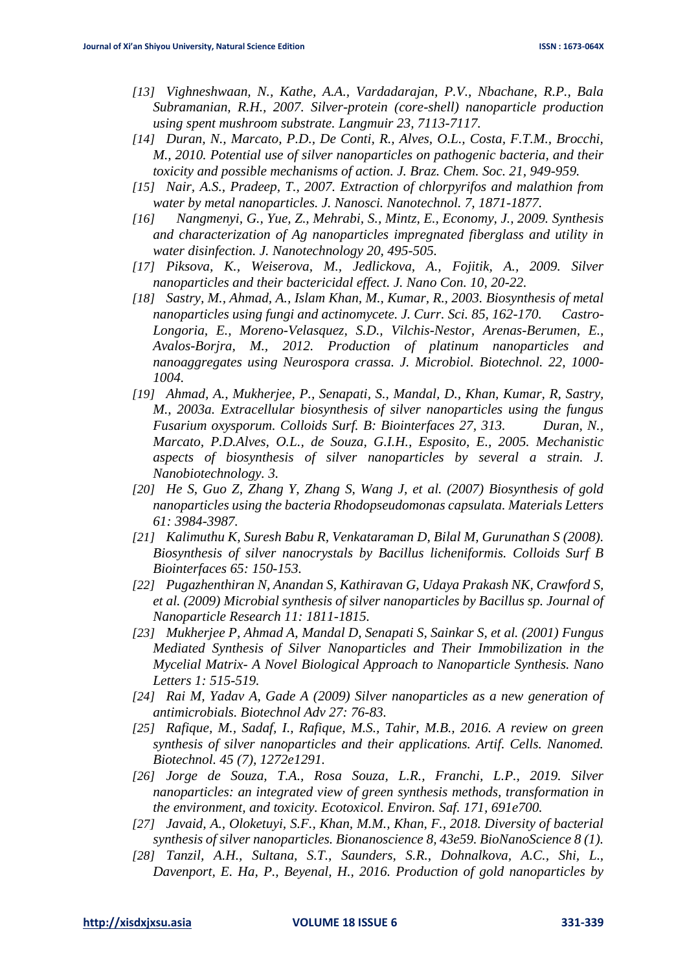- *[13] Vighneshwaan, N., Kathe, A.A., Vardadarajan, P.V., Nbachane, R.P., Bala Subramanian, R.H., 2007. Silver-protein (core-shell) nanoparticle production using spent mushroom substrate. Langmuir 23, 7113-7117.*
- *[14] Duran, N., Marcato, P.D., De Conti, R., Alves, O.L., Costa, F.T.M., Brocchi, M., 2010. Potential use of silver nanoparticles on pathogenic bacteria, and their toxicity and possible mechanisms of action. J. Braz. Chem. Soc. 21, 949-959.*
- *[15] Nair, A.S., Pradeep, T., 2007. Extraction of chlorpyrifos and malathion from water by metal nanoparticles. J. Nanosci. Nanotechnol. 7, 1871-1877.*
- *[16] Nangmenyi, G., Yue, Z., Mehrabi, S., Mintz, E., Economy, J., 2009. Synthesis and characterization of Ag nanoparticles impregnated fiberglass and utility in water disinfection. J. Nanotechnology 20, 495-505.*
- *[17] Piksova, K., Weiserova, M., Jedlickova, A., Fojitik, A., 2009. Silver nanoparticles and their bactericidal effect. J. Nano Con. 10, 20-22.*
- *[18] Sastry, M., Ahmad, A., Islam Khan, M., Kumar, R., 2003. Biosynthesis of metal nanoparticles using fungi and actinomycete. J. Curr. Sci. 85, 162-170. Castro-Longoria, E., Moreno-Velasquez, S.D., Vilchis-Nestor, Arenas-Berumen, E., Avalos-Borjra, M., 2012. Production of platinum nanoparticles and nanoaggregates using Neurospora crassa. J. Microbiol. Biotechnol. 22, 1000- 1004.*
- *[19] Ahmad, A., Mukherjee, P., Senapati, S., Mandal, D., Khan, Kumar, R, Sastry, M., 2003a. Extracellular biosynthesis of silver nanoparticles using the fungus Fusarium oxysporum. Colloids Surf. B: Biointerfaces 27, 313. Duran, N., Marcato, P.D.Alves, O.L., de Souza, G.I.H., Esposito, E., 2005. Mechanistic aspects of biosynthesis of silver nanoparticles by several a strain. J. Nanobiotechnology. 3.*
- *[20] He S, Guo Z, Zhang Y, Zhang S, Wang J, et al. (2007) Biosynthesis of gold nanoparticles using the bacteria Rhodopseudomonas capsulata. Materials Letters 61: 3984-3987.*
- *[21] Kalimuthu K, Suresh Babu R, Venkataraman D, Bilal M, Gurunathan S (2008). Biosynthesis of silver nanocrystals by Bacillus licheniformis. Colloids Surf B Biointerfaces 65: 150-153.*
- *[22] Pugazhenthiran N, Anandan S, Kathiravan G, Udaya Prakash NK, Crawford S, et al. (2009) Microbial synthesis of silver nanoparticles by Bacillus sp. Journal of Nanoparticle Research 11: 1811-1815.*
- *[23] Mukherjee P, Ahmad A, Mandal D, Senapati S, Sainkar S, et al. (2001) Fungus Mediated Synthesis of Silver Nanoparticles and Their Immobilization in the Mycelial Matrix- A Novel Biological Approach to Nanoparticle Synthesis. Nano Letters 1: 515-519.*
- *[24] Rai M, Yadav A, Gade A (2009) Silver nanoparticles as a new generation of antimicrobials. Biotechnol Adv 27: 76-83.*
- *[25] Rafique, M., Sadaf, I., Rafique, M.S., Tahir, M.B., 2016. A review on green synthesis of silver nanoparticles and their applications. Artif. Cells. Nanomed. Biotechnol. 45 (7), 1272e1291.*
- *[26] Jorge de Souza, T.A., Rosa Souza, L.R., Franchi, L.P., 2019. Silver nanoparticles: an integrated view of green synthesis methods, transformation in the environment, and toxicity. Ecotoxicol. Environ. Saf. 171, 691e700.*
- *[27] Javaid, A., Oloketuyi, S.F., Khan, M.M., Khan, F., 2018. Diversity of bacterial synthesis of silver nanoparticles. Bionanoscience 8, 43e59. BioNanoScience 8 (1).*
- *[28] Tanzil, A.H., Sultana, S.T., Saunders, S.R., Dohnalkova, A.C., Shi, L., Davenport, E. Ha, P., Beyenal, H., 2016. Production of gold nanoparticles by*